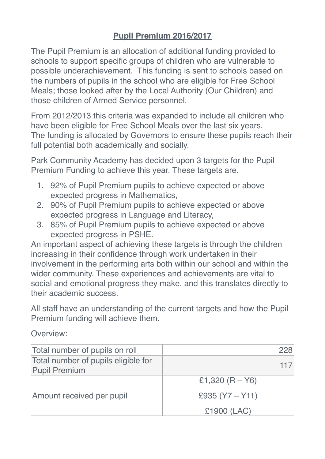## **Pupil Premium 2016/2017**

The Pupil Premium is an allocation of additional funding provided to schools to support specific groups of children who are vulnerable to possible underachievement. This funding is sent to schools based on the numbers of pupils in the school who are eligible for Free School Meals; those looked after by the Local Authority (Our Children) and those children of Armed Service personnel.

From 2012/2013 this criteria was expanded to include all children who have been eligible for Free School Meals over the last six years. The funding is allocated by Governors to ensure these pupils reach their full potential both academically and socially.

Park Community Academy has decided upon 3 targets for the Pupil Premium Funding to achieve this year. These targets are.

- 1. 92% of Pupil Premium pupils to achieve expected or above expected progress in Mathematics,
- 2. 90% of Pupil Premium pupils to achieve expected or above expected progress in Language and Literacy,
- 3. 85% of Pupil Premium pupils to achieve expected or above expected progress in PSHE.

An important aspect of achieving these targets is through the children increasing in their confidence through work undertaken in their involvement in the performing arts both within our school and within the wider community. These experiences and achievements are vital to social and emotional progress they make, and this translates directly to their academic success.

All staff have an understanding of the current targets and how the Pupil Premium funding will achieve them.

Overview:

| Total number of pupils on roll                              | 228               |
|-------------------------------------------------------------|-------------------|
| Total number of pupils eligible for<br><b>Pupil Premium</b> |                   |
| Amount received per pupil                                   | £1,320 $(R - Y6)$ |
|                                                             | £935 $(Y7 - Y11)$ |
|                                                             | £1900 (LAC)       |